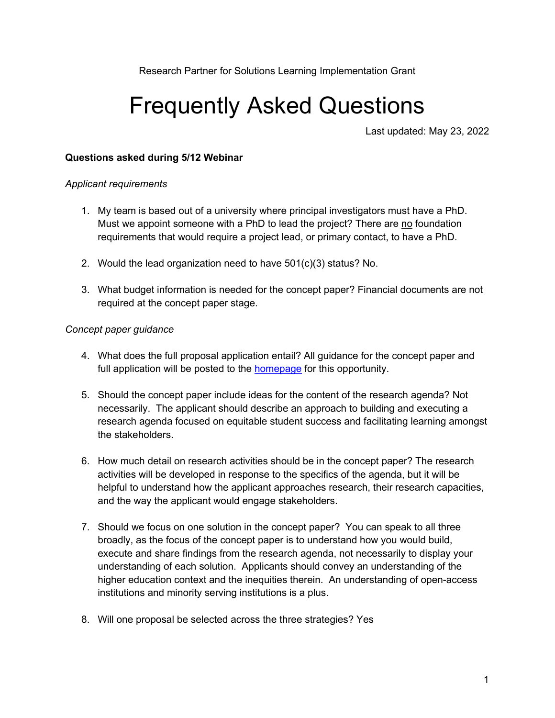Research Partner for Solutions Learning Implementation Grant

# Frequently Asked Questions

Last updated: May 23, 2022

#### **Questions asked during 5/12 Webinar**

#### *Applicant requirements*

- 1. My team is based out of a university where principal investigators must have a PhD. Must we appoint someone with a PhD to lead the project? There are no foundation requirements that would require a project lead, or primary contact, to have a PhD.
- 2. Would the lead organization need to have 501(c)(3) status? No.
- 3. What budget information is needed for the concept paper? Financial documents are not required at the concept paper stage.

#### *Concept paper guidance*

- 4. What does the full proposal application entail? All guidance for the concept paper and full application will be posted to the homepage for this opportunity.
- 5. Should the concept paper include ideas for the content of the research agenda? Not necessarily. The applicant should describe an approach to building and executing a research agenda focused on equitable student success and facilitating learning amongst the stakeholders.
- 6. How much detail on research activities should be in the concept paper? The research activities will be developed in response to the specifics of the agenda, but it will be helpful to understand how the applicant approaches research, their research capacities, and the way the applicant would engage stakeholders.
- 7. Should we focus on one solution in the concept paper? You can speak to all three broadly, as the focus of the concept paper is to understand how you would build, execute and share findings from the research agenda, not necessarily to display your understanding of each solution. Applicants should convey an understanding of the higher education context and the inequities therein. An understanding of open-access institutions and minority serving institutions is a plus.
- 8. Will one proposal be selected across the three strategies? Yes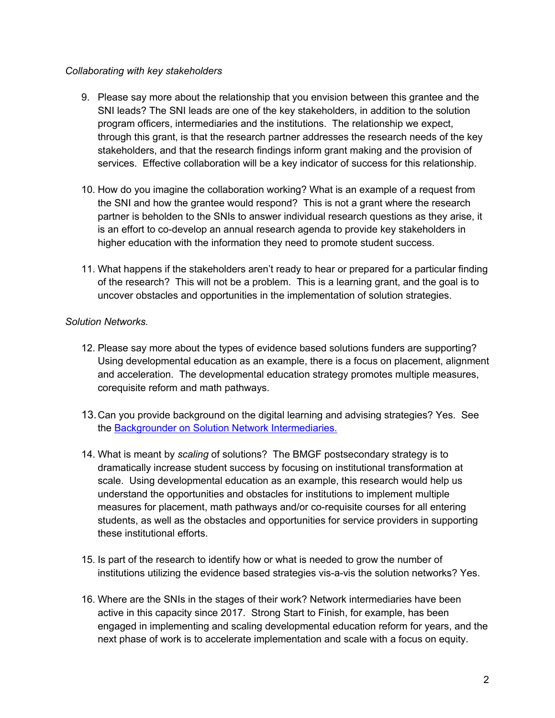#### *Collaborating with key stakeholders*

- 9. Please say more about the relationship that you envision between this grantee and the SNI leads? The SNI leads are one of the key stakeholders, in addition to the solution program officers, intermediaries and the institutions. The relationship we expect, through this grant, is that the research partner addresses the research needs of the key stakeholders, and that the research findings inform grant making and the provision of services. Effective collaboration will be a key indicator of success for this relationship.
- 10. How do you imagine the collaboration working? What is an example of a request from the SNI and how the grantee would respond? This is not a grant where the research partner is beholden to the SNIs to answer individual research questions as they arise, it is an effort to co-develop an annual research agenda to provide key stakeholders in higher education with the information they need to promote student success.
- 11. What happens if the stakeholders aren't ready to hear or prepared for a particular finding of the research? This will not be a problem. This is a learning grant, and the goal is to uncover obstacles and opportunities in the implementation of solution strategies.

# *Solution Networks.*

- 12. Please say more about the types of evidence based solutions funders are supporting? Using developmental education as an example, there is a focus on placement, alignment and acceleration. The developmental education strategy promotes multiple measures, corequisite reform and math pathways.
- 13.Can you provide background on the digital learning and advising strategies? Yes. See the Backgrounder on Solution Network Intermediaries.
- 14. What is meant by *scaling* of solutions? The BMGF postsecondary strategy is to dramatically increase student success by focusing on institutional transformation at scale. Using developmental education as an example, this research would help us understand the opportunities and obstacles for institutions to implement multiple measures for placement, math pathways and/or co-requisite courses for all entering students, as well as the obstacles and opportunities for service providers in supporting these institutional efforts.
- 15. Is part of the research to identify how or what is needed to grow the number of institutions utilizing the evidence based strategies vis-a-vis the solution networks? Yes.
- 16. Where are the SNIs in the stages of their work? Network intermediaries have been active in this capacity since 2017. Strong Start to Finish, for example, has been engaged in implementing and scaling developmental education reform for years, and the next phase of work is to accelerate implementation and scale with a focus on equity.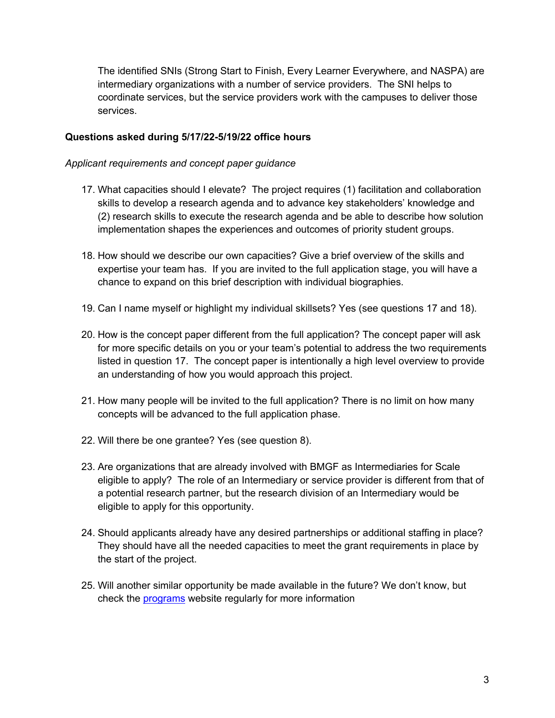The identified SNIs (Strong Start to Finish, Every Learner Everywhere, and NASPA) are intermediary organizations with a number of service providers. The SNI helps to coordinate services, but the service providers work with the campuses to deliver those services.

#### **Questions asked during 5/17/22-5/19/22 office hours**

#### *Applicant requirements and concept paper guidance*

- 17. What capacities should I elevate? The project requires (1) facilitation and collaboration skills to develop a research agenda and to advance key stakeholders' knowledge and (2) research skills to execute the research agenda and be able to describe how solution implementation shapes the experiences and outcomes of priority student groups.
- 18. How should we describe our own capacities? Give a brief overview of the skills and expertise your team has. If you are invited to the full application stage, you will have a chance to expand on this brief description with individual biographies.
- 19. Can I name myself or highlight my individual skillsets? Yes (see questions 17 and 18).
- 20. How is the concept paper different from the full application? The concept paper will ask for more specific details on you or your team's potential to address the two requirements listed in question 17. The concept paper is intentionally a high level overview to provide an understanding of how you would approach this project.
- 21. How many people will be invited to the full application? There is no limit on how many concepts will be advanced to the full application phase.
- 22. Will there be one grantee? Yes (see question 8).
- 23. Are organizations that are already involved with BMGF as Intermediaries for Scale eligible to apply? The role of an Intermediary or service provider is different from that of a potential research partner, but the research division of an Intermediary would be eligible to apply for this opportunity.
- 24. Should applicants already have any desired partnerships or additional staffing in place? They should have all the needed capacities to meet the grant requirements in place by the start of the project.
- 25. Will another similar opportunity be made available in the future? We don't know, but check the programs website regularly for more information